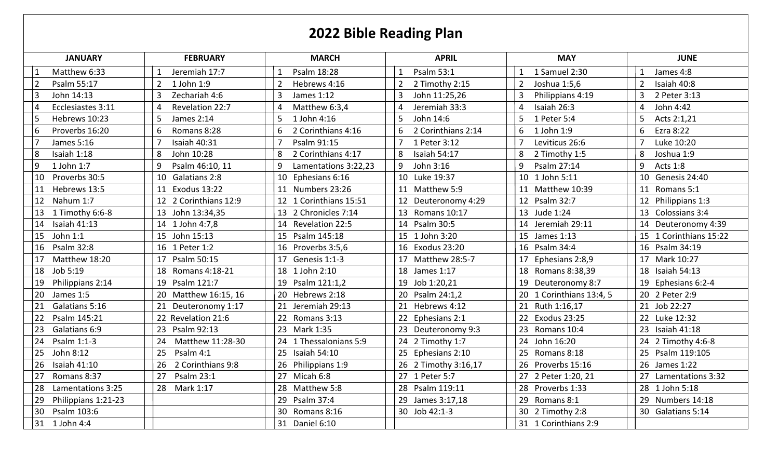## **2022 Bible Reading Plan**

| <b>JANUARY</b>                | <b>FEBRUARY</b>           | <b>MARCH</b>                   | <b>APRIL</b>                             | <b>MAY</b>                     | <b>JUNE</b>                   |
|-------------------------------|---------------------------|--------------------------------|------------------------------------------|--------------------------------|-------------------------------|
| Matthew 6:33                  | Jeremiah 17:7             | Psalm 18:28<br>$\mathbf{1}$    | Psalm 53:1                               | 1 Samuel 2:30                  | James 4:8                     |
| Psalm 55:17<br>$\overline{2}$ | 1 John 1:9                | $\overline{2}$<br>Hebrews 4:16 | $\overline{2}$<br>2 Timothy 2:15         | Joshua 1:5,6<br>$\overline{2}$ | $\overline{2}$<br>Isaiah 40:8 |
| $\overline{3}$<br>John 14:13  | Zechariah 4:6             | 3<br>James 1:12                | $\overline{\mathbf{3}}$<br>John 11:25,26 | 3<br>Philippians 4:19          | 3<br>2 Peter 3:13             |
| Ecclesiastes 3:11<br>4        | Revelation 22:7           | Matthew 6:3,4<br>4             | Jeremiah 33:3<br>$\Delta$                | Isaiah 26:3                    | John 4:42<br>4                |
| Hebrews 10:23<br>5            | <b>James 2:14</b>         | 1 John 4:16<br>5               | John 14:6<br>5                           | 1 Peter 5:4<br>5               | Acts 2:1,21                   |
| 6<br>Proverbs 16:20           | Romans 8:28<br>6          | 2 Corinthians 4:16<br>6        | 2 Corinthians 2:14<br>6                  | 1 John 1:9<br>6                | Ezra 8:22<br>6                |
| James 5:16                    | Isaiah 40:31              | Psalm 91:15                    | 1 Peter 3:12                             | Leviticus 26:6                 | Luke 10:20                    |
| 8<br>Isaiah 1:18              | John 10:28                | 2 Corinthians 4:17<br>8        | 8<br>Isaiah 54:17                        | 8<br>2 Timothy 1:5             | 8<br>Joshua 1:9               |
| 9<br>1 John 1:7               | Psalm 46:10, 11           | 9<br>Lamentations 3:22,23      | John 3:16<br>9                           | 9<br>Psalm 27:14               | 9<br>Acts 1:8                 |
| Proverbs 30:5<br>10           | 10<br>Galatians 2:8       | Ephesians 6:16<br>10           | 10 Luke 19:37                            | 10<br>1 John 5:11              | 10<br>Genesis 24:40           |
| Hebrews 13:5<br>11            | <b>Exodus 13:22</b><br>11 | 11 Numbers 23:26               | 11 Matthew 5:9                           | Matthew 10:39<br>11            | 11<br>Romans 5:1              |
| Nahum 1:7<br>12               | 12 2 Corinthians 12:9     | 12 1 Corinthians 15:51         | 12 Deuteronomy 4:29                      | Psalm 32:7<br>12               | 12 Philippians 1:3            |
| 1 Timothy 6:6-8<br>13         | 13 John 13:34,35          | 13 2 Chronicles 7:14           | 13 Romans 10:17                          | Jude 1:24<br>13                | 13 Colossians 3:4             |
| 14<br><b>Isaiah 41:13</b>     | 14 1 John 4:7,8           | 14 Revelation 22:5             | 14 Psalm 30:5                            | Jeremiah 29:11<br>14           | Deuteronomy 4:39<br>14        |
| John 1:1<br>15                | 15 John 15:13             | 15 Psalm 145:18                | 15 1 John 3:20                           | James 1:13<br>15               | 15 1 Corinthians 15:22        |
| Psalm 32:8<br>16              | 16 1 Peter 1:2            | 16 Proverbs 3:5,6              | 16 Exodus 23:20                          | Psalm 34:4<br>16               | Psalm 34:19<br>16             |
| Matthew 18:20<br>17           | Psalm 50:15<br>17         | Genesis 1:1-3<br>17            | Matthew 28:5-7<br>17                     | Ephesians 2:8,9<br>17          | Mark 10:27<br>17              |
| 18<br>Job 5:19                | Romans 4:18-21<br>18      | 18 1 John 2:10                 | 18 James 1:17                            | Romans 8:38,39<br>18           | 18 Isaiah 54:13               |
| Philippians 2:14<br>19        | Psalm 121:7<br>19         | Psalm 121:1,2<br>19            | 19 Job 1:20,21                           | Deuteronomy 8:7<br>19          | 19 Ephesians 6:2-4            |
| 20<br>James 1:5               | 20 Matthew 16:15, 16      | 20 Hebrews 2:18                | 20 Psalm 24:1,2                          | 1 Corinthians 13:4, 5          | 20 2 Peter 2:9                |
| Galatians 5:16<br>21          | Deuteronomy 1:17          | Jeremiah 29:13                 | 21 Hebrews 4:12                          | 21<br>Ruth 1:16,17             | 21 Job 22:27                  |
| Psalm 145:21<br>22            | 22 Revelation 21:6        | 22 Romans 3:13                 | 22 Ephesians 2:1                         | <b>Exodus 23:25</b><br>22      | 22 Luke 12:32                 |
| Galatians 6:9<br>23           | 23 Psalm 92:13            | 23 Mark 1:35                   | 23 Deuteronomy 9:3                       | 23<br>Romans 10:4              | 23 Isaiah 41:18               |
| Psalm 1:1-3<br>24             | Matthew 11:28-30<br>24    | 24 1 Thessalonians 5:9         | 24 2 Timothy 1:7                         | John 16:20<br>24               | 24 2 Timothy 4:6-8            |
| John 8:12<br>25               | Psalm 4:1<br>25           | 25 Isaiah 54:10                | 25 Ephesians 2:10                        | Romans 8:18<br>25              | 25 Psalm 119:105              |
| Isaiah 41:10<br>26            | 2 Corinthians 9:8<br>26   | 26<br>Philippians 1:9          | 26 2 Timothy 3:16,17                     | Proverbs 15:16<br>26           | 26 James 1:22                 |
| Romans 8:37<br>27             | Psalm 23:1<br>27          | Micah 6:8<br>27                | 27 1 Peter 5:7                           | 2 Peter 1:20, 21<br>27         | Lamentations 3:32             |
| 28<br>Lamentations 3:25       | 28<br>Mark 1:17           | 28 Matthew 5:8                 | 28 Psalm 119:11                          | 28<br>Proverbs 1:33            | 28 1 John 5:18                |
| 29<br>Philippians 1:21-23     |                           | Psalm 37:4<br>29               | 29<br>James 3:17,18                      | 29<br>Romans 8:1               | 29<br>Numbers 14:18           |
| Psalm 103:6<br>30             |                           | 30 Romans 8:16                 | 30 Job 42:1-3                            | 30<br>2 Timothy 2:8            | 30 Galatians 5:14             |
| 31<br>1 John 4:4              |                           | 31 Daniel 6:10                 |                                          | 31 1 Corinthians 2:9           |                               |